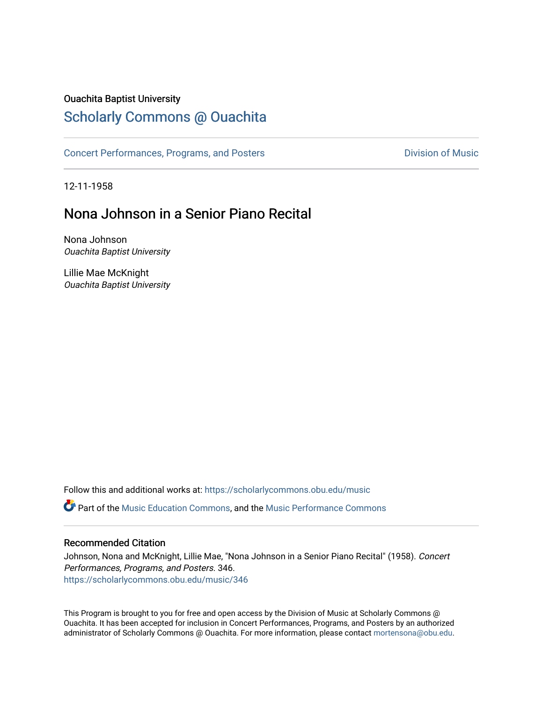### Ouachita Baptist University

## [Scholarly Commons @ Ouachita](https://scholarlycommons.obu.edu/)

[Concert Performances, Programs, and Posters](https://scholarlycommons.obu.edu/music) **Division of Music** Division of Music

12-11-1958

# Nona Johnson in a Senior Piano Recital

Nona Johnson Ouachita Baptist University

Lillie Mae McKnight Ouachita Baptist University

Follow this and additional works at: [https://scholarlycommons.obu.edu/music](https://scholarlycommons.obu.edu/music?utm_source=scholarlycommons.obu.edu%2Fmusic%2F346&utm_medium=PDF&utm_campaign=PDFCoverPages) 

**C** Part of the [Music Education Commons,](http://network.bepress.com/hgg/discipline/1246?utm_source=scholarlycommons.obu.edu%2Fmusic%2F346&utm_medium=PDF&utm_campaign=PDFCoverPages) and the Music Performance Commons

### Recommended Citation

Johnson, Nona and McKnight, Lillie Mae, "Nona Johnson in a Senior Piano Recital" (1958). Concert Performances, Programs, and Posters. 346. [https://scholarlycommons.obu.edu/music/346](https://scholarlycommons.obu.edu/music/346?utm_source=scholarlycommons.obu.edu%2Fmusic%2F346&utm_medium=PDF&utm_campaign=PDFCoverPages) 

This Program is brought to you for free and open access by the Division of Music at Scholarly Commons @ Ouachita. It has been accepted for inclusion in Concert Performances, Programs, and Posters by an authorized administrator of Scholarly Commons @ Ouachita. For more information, please contact [mortensona@obu.edu](mailto:mortensona@obu.edu).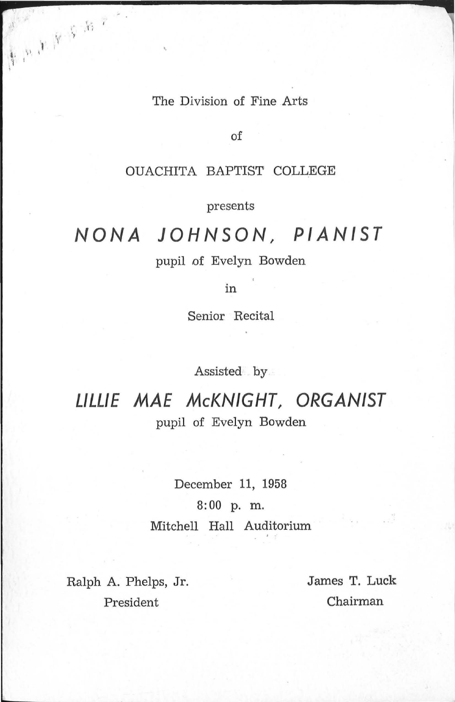#### The Division of Fine Arts

of

#### OUACHITA BAPTIST COLLEGE

presents

# **NONA JOHNSON, PIANIST**

pupil of Evelyn Bowden

in

Senior Recital

Assisted by

**LILLIE MAE McKNIGHT, ORGANIST**  pupil of Evelyn Bowden

December 11, 1958

8:00 p. m.

Mitchell Hall Auditorium

Ralph A. Phelps, Jr. James T. Luck President Chairman

 $\mathbb{V} \rightarrow \mathbb{R}$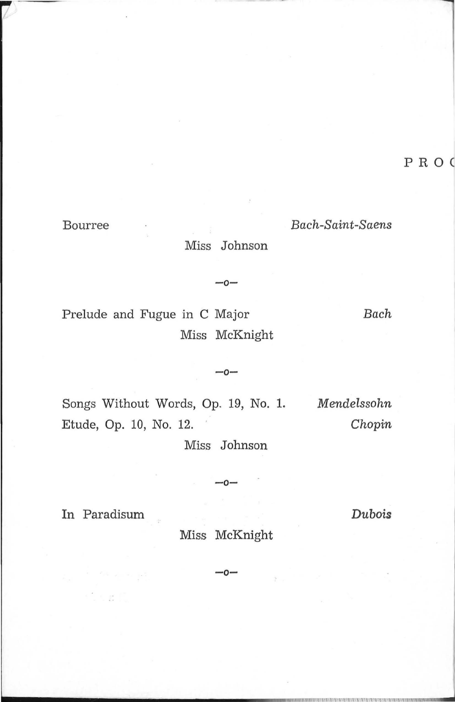PRO

#### Bourree

Bach-Saint-Saens Miss Johnson

Prelude and Fugue in C Major Miss McKnight Bach

Songs Without Words, Op. 19, No. 1. Mendelssohn Etude, Op. 10, No. 12. Chopin

Miss Johnson

 $-0-$ 

 $-0-$ 

In Paradisum

STA START

Miss McKnight

n.

Dubois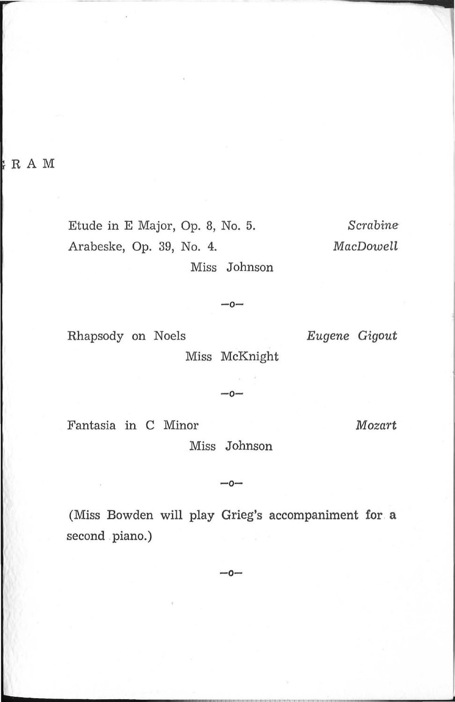$: R A M$ 

Etude in E Major, Op. 8, No. 5. Arabeske, Op. 39, No. 4.

Scrabine MacDowell

Miss Johnson

 $-0-$ 

Rhapsody on Noels

Miss McKnight

 $-0-$ 

Eugene Gigout

Fantasia in C Minor

Mozart

Miss Johnson

 $-0-$ 

(Miss Bowden will play Grieg's accompaniment for a second piano.)

 $-0-$